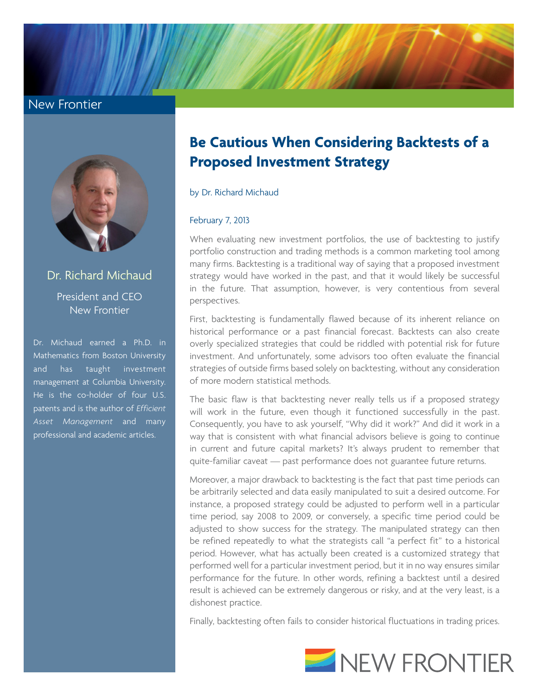## New Frontier



Dr. Richard Michaud President and CEO New Frontier

Dr. Michaud earned a Ph.D. in Mathematics from Boston University and has taught investment management at Columbia University. He is the co-holder of four U.S. patents and is the author of *Efficient Asset Management* and many professional and academic articles.

## **Be Cautious When Considering Backtests of a Proposed Investment Strategy**

by Dr. Richard Michaud

## February 7, 2013

When evaluating new investment portfolios, the use of backtesting to justify portfolio construction and trading methods is a common marketing tool among many firms. Backtesting is a traditional way of saying that a proposed investment strategy would have worked in the past, and that it would likely be successful in the future. That assumption, however, is very contentious from several perspectives.

First, backtesting is fundamentally flawed because of its inherent reliance on historical performance or a past financial forecast. Backtests can also create overly specialized strategies that could be riddled with potential risk for future investment. And unfortunately, some advisors too often evaluate the financial strategies of outside firms based solely on backtesting, without any consideration of more modern statistical methods.

The basic flaw is that backtesting never really tells us if a proposed strategy will work in the future, even though it functioned successfully in the past. Consequently, you have to ask yourself, "Why did it work?" And did it work in a way that is consistent with what financial advisors believe is going to continue in current and future capital markets? It's always prudent to remember that quite-familiar caveat — past performance does not guarantee future returns.

Moreover, a major drawback to backtesting is the fact that past time periods can be arbitrarily selected and data easily manipulated to suit a desired outcome. For instance, a proposed strategy could be adjusted to perform well in a particular time period, say 2008 to 2009, or conversely, a specific time period could be adjusted to show success for the strategy. The manipulated strategy can then be refined repeatedly to what the strategists call "a perfect fit" to a historical period. However, what has actually been created is a customized strategy that performed well for a particular investment period, but it in no way ensures similar performance for the future. In other words, refining a backtest until a desired result is achieved can be extremely dangerous or risky, and at the very least, is a dishonest practice.

Finally, backtesting often fails to consider historical fluctuations in trading prices.